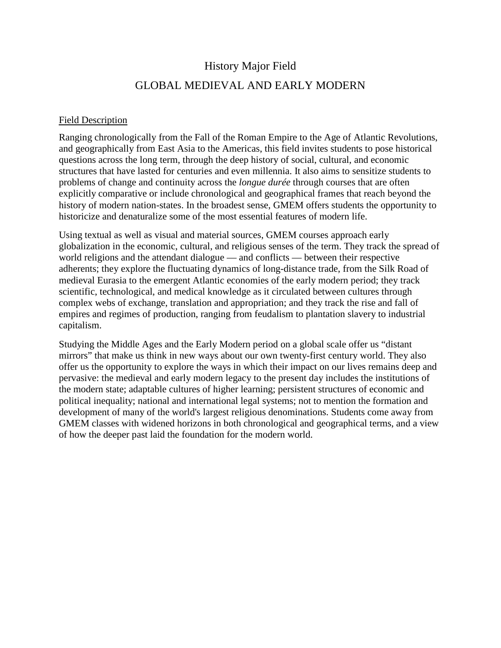## History Major Field

## GLOBAL MEDIEVAL AND EARLY MODERN

## Field Description

Ranging chronologically from the Fall of the Roman Empire to the Age of Atlantic Revolutions, and geographically from East Asia to the Americas, this field invites students to pose historical questions across the long term, through the deep history of social, cultural, and economic structures that have lasted for centuries and even millennia. It also aims to sensitize students to problems of change and continuity across the *longue durée* through courses that are often explicitly comparative or include chronological and geographical frames that reach beyond the history of modern nation-states. In the broadest sense, GMEM offers students the opportunity to historicize and denaturalize some of the most essential features of modern life.

Using textual as well as visual and material sources, GMEM courses approach early globalization in the economic, cultural, and religious senses of the term. They track the spread of world religions and the attendant dialogue — and conflicts — between their respective adherents; they explore the fluctuating dynamics of long-distance trade, from the Silk Road of medieval Eurasia to the emergent Atlantic economies of the early modern period; they track scientific, technological, and medical knowledge as it circulated between cultures through complex webs of exchange, translation and appropriation; and they track the rise and fall of empires and regimes of production, ranging from feudalism to plantation slavery to industrial capitalism.

Studying the Middle Ages and the Early Modern period on a global scale offer us "distant mirrors" that make us think in new ways about our own twenty-first century world. They also offer us the opportunity to explore the ways in which their impact on our lives remains deep and pervasive: the medieval and early modern legacy to the present day includes the institutions of the modern state; adaptable cultures of higher learning; persistent structures of economic and political inequality; national and international legal systems; not to mention the formation and development of many of the world's largest religious denominations. Students come away from GMEM classes with widened horizons in both chronological and geographical terms, and a view of how the deeper past laid the foundation for the modern world.